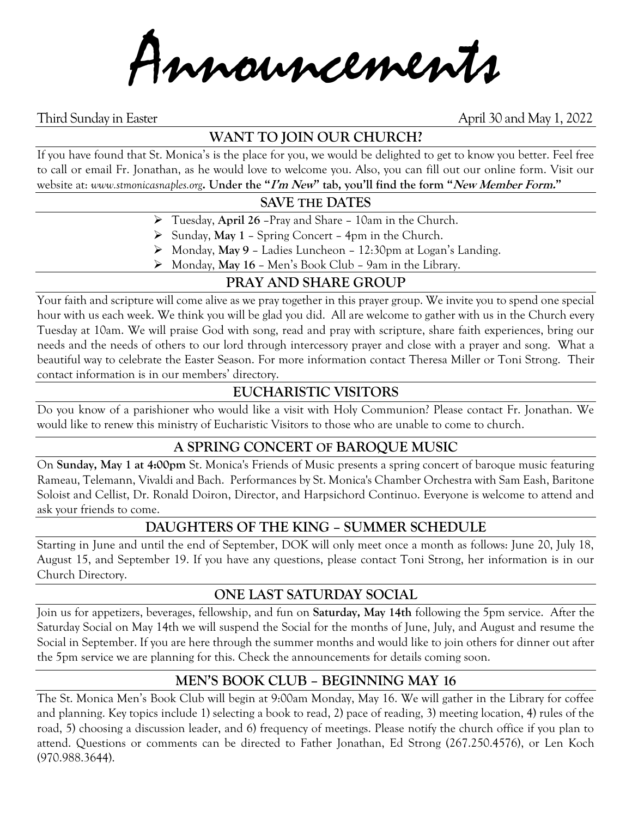Announcements

Third Sunday in Easter **April 30 and May 1, 2022** 

# **WANT TO JOIN OUR CHURCH?**

If you have found that St. Monica's is the place for you, we would be delighted to get to know you better. Feel free to call or email Fr. Jonathan, as he would love to welcome you. Also, you can fill out our online form. Visit our website at: *www.stmonicasnaples.org***. Under the "I'm New" tab, you'll find the form "New Member Form."**

### **SAVE THE DATES**

- ➢ Tuesday, **April 26** –Pray and Share 10am in the Church.
- ➢ Sunday, **May 1** Spring Concert 4pm in the Church.
- ➢ Monday, **May 9** Ladies Luncheon 12:30pm at Logan's Landing.
- ➢ Monday, **May 16** Men's Book Club 9am in the Library.

# **PRAY AND SHARE GROUP**

Your faith and scripture will come alive as we pray together in this prayer group. We invite you to spend one special hour with us each week. We think you will be glad you did. All are welcome to gather with us in the Church every Tuesday at 10am. We will praise God with song, read and pray with scripture, share faith experiences, bring our needs and the needs of others to our lord through intercessory prayer and close with a prayer and song. What a beautiful way to celebrate the Easter Season. For more information contact Theresa Miller or Toni Strong. Their contact information is in our members' directory.

# **EUCHARISTIC VISITORS**

Do you know of a parishioner who would like a visit with Holy Communion? Please contact Fr. Jonathan. We would like to renew this ministry of Eucharistic Visitors to those who are unable to come to church.

### **A SPRING CONCERT OF BAROQUE MUSIC**

On **Sunday, May 1 at 4:00pm** St. Monica's Friends of Music presents a spring concert of baroque music featuring Rameau, Telemann, Vivaldi and Bach. Performances by St. Monica's Chamber Orchestra with Sam Eash, Baritone Soloist and Cellist, Dr. Ronald Doiron, Director, and Harpsichord Continuo. Everyone is welcome to attend and ask your friends to come.

### **DAUGHTERS OF THE KING – SUMMER SCHEDULE**

Starting in June and until the end of September, DOK will only meet once a month as follows: June 20, July 18, August 15, and September 19. If you have any questions, please contact Toni Strong, her information is in our Church Directory.

#### **ONE LAST SATURDAY SOCIAL**

Join us for appetizers, beverages, fellowship, and fun on **Saturday, May 14th** following the 5pm service. After the Saturday Social on May 14th we will suspend the Social for the months of June, July, and August and resume the Social in September. If you are here through the summer months and would like to join others for dinner out after the 5pm service we are planning for this. Check the announcements for details coming soon.

# **MEN'S BOOK CLUB – BEGINNING MAY 16**

The St. Monica Men's Book Club will begin at 9:00am Monday, May 16. We will gather in the Library for coffee and planning. Key topics include 1) selecting a book to read, 2) pace of reading, 3) meeting location, 4) rules of the road, 5) choosing a discussion leader, and 6) frequency of meetings. Please notify the church office if you plan to attend. Questions or comments can be directed to Father Jonathan, Ed Strong (267.250.4576), or Len Koch (970.988.3644).